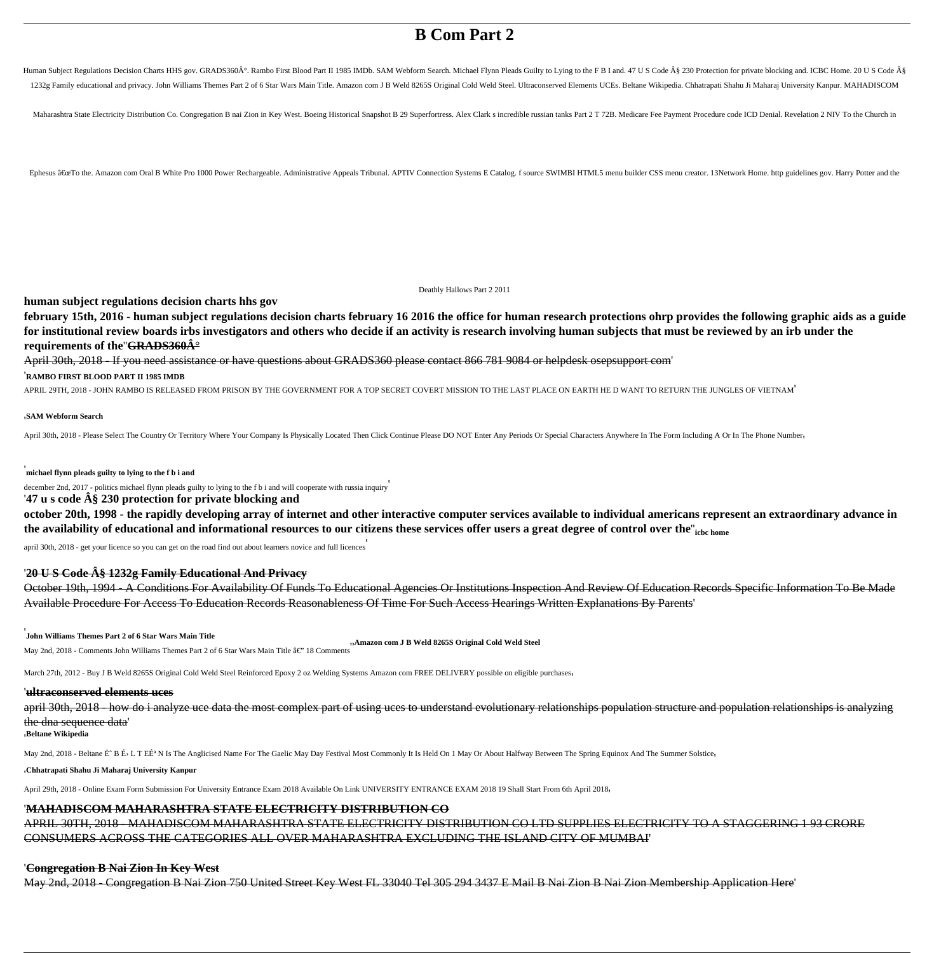# **B Com Part 2**

Human Subject Regulations Decision Charts HHS gov. GRADS360°. Rambo First Blood Part II 1985 IMDb. SAM Webform Search. Michael Flynn Pleads Guilty to Lying to the F B I and. 47 U S Code § 230 Protection for private block 1232g Family educational and privacy. John Williams Themes Part 2 of 6 Star Wars Main Title. Amazon com J B Weld 8265S Original Cold Weld Steel. Ultraconserved Elements UCEs. Beltane Wikipedia. Chhatrapati Shahu Ji Maharaj

Maharashtra State Electricity Distribution Co. Congregation B nai Zion in Key West. Boeing Historical Snapshot B 29 Superfortress. Alex Clark s incredible russian tanks Part 2 T 72B. Medicare Fee Payment Procedure code ICD

Ephesus â€&To the. Amazon com Oral B White Pro 1000 Power Rechargeable. Administrative Appeals Tribunal. APTIV Connection Systems E Catalog. f source SWIMBI HTML5 menu builder CSS menu creator. 13Network Home. http guidel

**february 15th, 2016 - human subject regulations decision charts february 16 2016 the office for human research protections ohrp provides the following graphic aids as a guide for institutional review boards irbs investigators and others who decide if an activity is research involving human subjects that must be reviewed by an irb under the requirements of the <del>GRADS360** $\hat{A}^{\circ}$ **</del>** 

Deathly Hallows Part 2 2011

**human subject regulations decision charts hhs gov**

April 30th, 2018 - If you need assistance or have questions about GRADS360 please contact 866 781 9084 or helpdesk osepsupport com'

'**RAMBO FIRST BLOOD PART II 1985 IMDB**

APRIL 29TH, 2018 - JOHN RAMBO IS RELEASED FROM PRISON BY THE GOVERNMENT FOR A TOP SECRET COVERT MISSION TO THE LAST PLACE ON EARTH HE D WANT TO RETURN THE JUNGLES OF VIETNAM'

#### '**SAM Webform Search**

April 30th, 2018 - Please Select The Country Or Territory Where Your Company Is Physically Located Then Click Continue Please DO NOT Enter Any Periods Or Special Characters Anywhere In The Form Including A Or In The Phone

'**michael flynn pleads guilty to lying to the f b i and**

december 2nd, 2017 - politics michael flynn pleads guilty to lying to the f b i and will cooperate with russia inquiry' '**47 u s code § 230 protection for private blocking and**

**october 20th, 1998 - the rapidly developing array of internet and other interactive computer services available to individual americans represent an extraordinary advance in the availability of educational and informational resources to our citizens these services offer users a great degree of control over the**''**icbc home**

april 30th, 2018 - get your licence so you can get on the road find out about learners novice and full licences'

#### '**20 U S Code § 1232g Family Educational And Privacy**

October 19th, 1994 - A Conditions For Availability Of Funds To Educational Agencies Or Institutions Inspection And Review Of Education Records Specific Information To Be Made Available Procedure For Access To Education Records Reasonableness Of Time For Such Access Hearings Written Explanations By Parents'

#### '**John Williams Themes Part 2 of 6 Star Wars Main Title**

May 2nd, 2018 - Comments John Williams Themes Part 2 of 6 Star Wars Main Title â€" 18 Comments'

March 27th, 2012 - Buy J B Weld 8265S Original Cold Weld Steel Reinforced Epoxy 2 oz Welding Systems Amazon com FREE DELIVERY possible on eligible purchases'

#### '**ultraconserved elements uces**

april 30th, 2018 - how do i analyze uce data the most complex part of using uces to understand evolutionary relationships population structure and population relationships is analyzing the dna sequence data'

#### '**Beltane Wikipedia**

May 2nd, 2018 - Beltane Ë^B E<sup>\$</sup> L T EE<sup>\$</sup> N Is The Anglicised Name For The Gaelic May Day Festival Most Commonly It Is Held On 1 May Or About Halfway Between The Spring Equinox And The Summer Solstice<sub>'</sub>

#### '**Chhatrapati Shahu Ji Maharaj University Kanpur**

April 29th, 2018 - Online Exam Form Submission For University Entrance Exam 2018 Available On Link UNIVERSITY ENTRANCE EXAM 2018 19 Shall Start From 6th April 2018'

#### '**MAHADISCOM MAHARASHTRA STATE ELECTRICITY DISTRIBUTION CO**

APRIL 30TH, 2018 - MAHADISCOM MAHARASHTRA STATE ELECTRICITY DISTRIBUTION CO LTD SUPPLIES ELECTRICITY TO A STAGGERING 1 93 CRORE CONSUMERS ACROSS THE CATEGORIES ALL OVER MAHARASHTRA EXCLUDING THE ISLAND CITY OF MUMBAI'

#### '**Congregation B Nai Zion In Key West**

May 2nd, 2018 - Congregation B Nai Zion 750 United Street Key West FL 33040 Tel 305 294 3437 E Mail B Nai Zion B Nai Zion Membership Application Here'